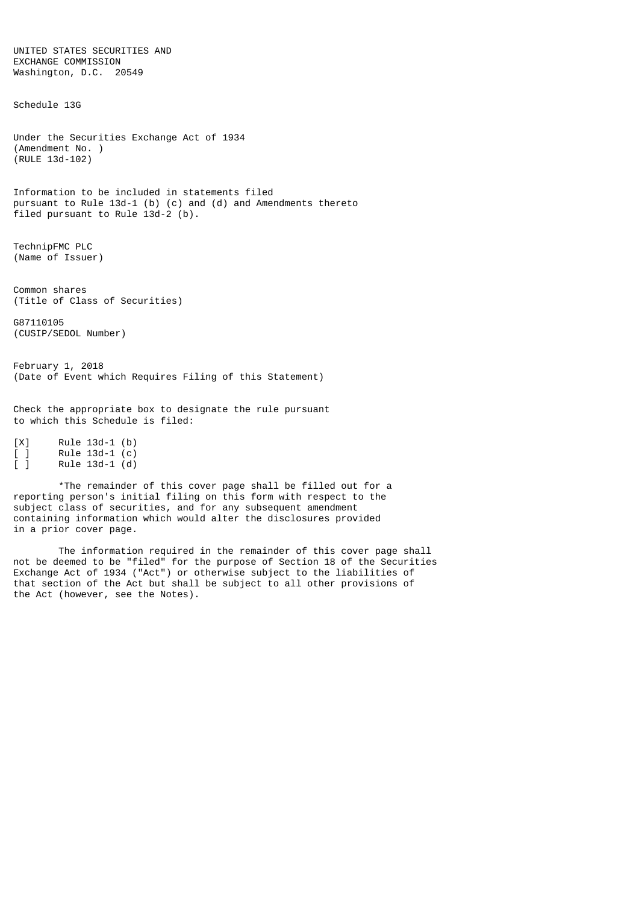UNITED STATES SECURITIES AND EXCHANGE COMMISSION Washington, D.C. 20549 Schedule 13G Under the Securities Exchange Act of 1934 (Amendment No. ) (RULE 13d-102) Information to be included in statements filed pursuant to Rule 13d-1 (b) (c) and (d) and Amendments thereto filed pursuant to Rule 13d-2 (b). TechnipFMC PLC (Name of Issuer) Common shares (Title of Class of Securities) G87110105 (CUSIP/SEDOL Number) February 1, 2018 (Date of Event which Requires Filing of this Statement) Check the appropriate box to designate the rule pursuant to which this Schedule is filed: [X] Rule 13d-1 (b) [ ] Rule 13d-1 (c) [ ] Rule 13d-1 (d)

\*The remainder of this cover page shall be filled out for a reporting person's initial filing on this form with respect to the subject class of securities, and for any subsequent amendment containing information which would alter the disclosures provided in a prior cover page.

The information required in the remainder of this cover page shall not be deemed to be "filed" for the purpose of Section 18 of the Securities Exchange Act of 1934 ("Act") or otherwise subject to the liabilities of that section of the Act but shall be subject to all other provisions of the Act (however, see the Notes).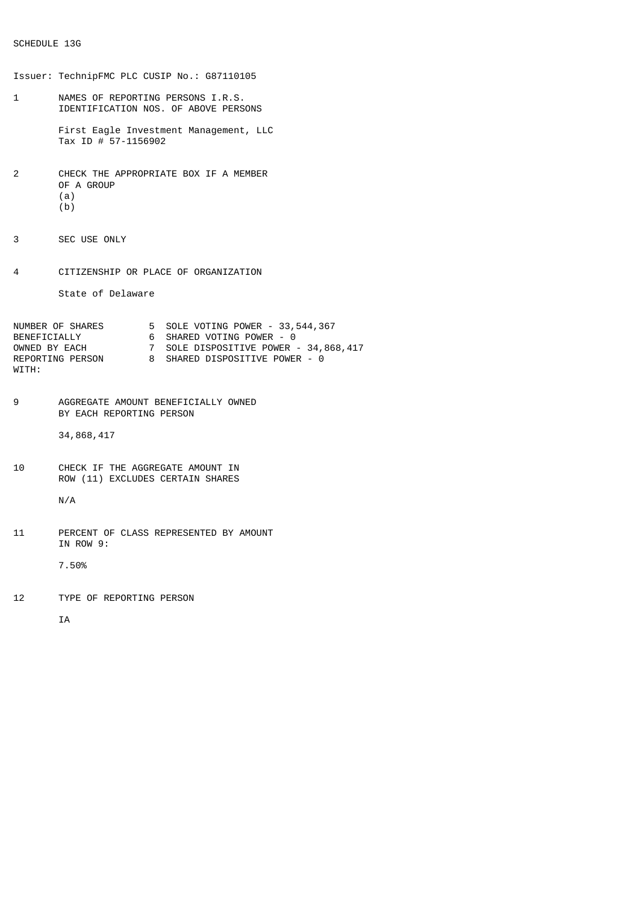Issuer: TechnipFMC PLC CUSIP No.: G87110105 1 NAMES OF REPORTING PERSONS I.R.S. IDENTIFICATION NOS. OF ABOVE PERSONS First Eagle Investment Management, LLC Tax ID # 57-1156902 2 CHECK THE APPROPRIATE BOX IF A MEMBER OF A GROUP (a) (b) 3 SEC USE ONLY 4 CITIZENSHIP OR PLACE OF ORGANIZATION State of Delaware NUMBER OF SHARES 5 SOLE VOTING POWER - 33,544,367 BENEFICIALLY 6 SHARED VOTING POWER - 0 OWNED BY EACH 7 SOLE DISPOSITIVE POWER - 34,868,417 REPORTING PERSON 8 SHARED DISPOSITIVE POWER - 0 WITH: 9 AGGREGATE AMOUNT BENEFICIALLY OWNED BY EACH REPORTING PERSON 34,868,417 10 CHECK IF THE AGGREGATE AMOUNT IN ROW (11) EXCLUDES CERTAIN SHARES N/A 11 PERCENT OF CLASS REPRESENTED BY AMOUNT IN ROW 9: 7.50% 12 TYPE OF REPORTING PERSON IA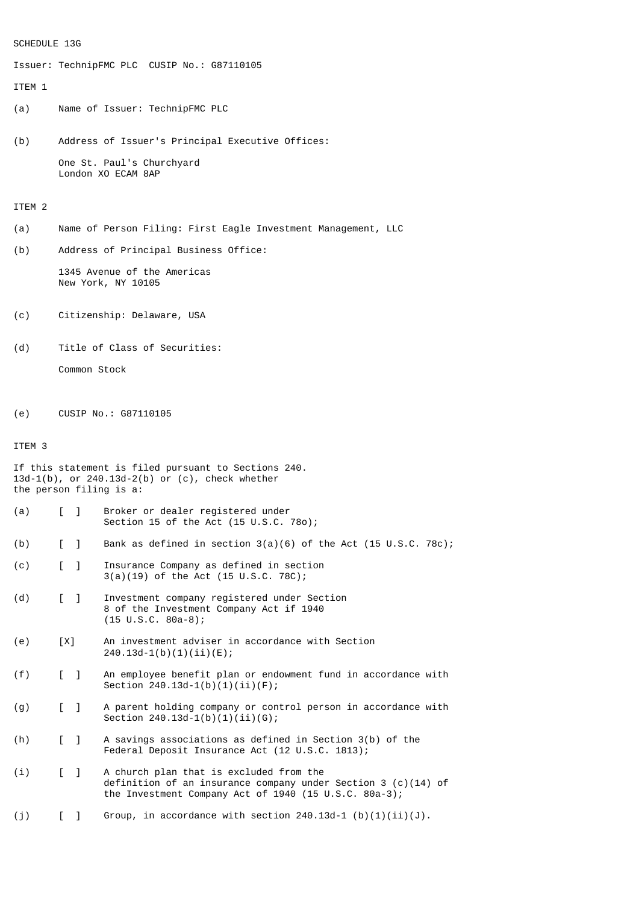# SCHEDULE 13G

Issuer: TechnipFMC PLC CUSIP No.: G87110105

#### ITEM 1

- (a) Name of Issuer: TechnipFMC PLC
- (b) Address of Issuer's Principal Executive Offices: One St. Paul's Churchyard London XO ECAM 8AP

## ITEM 2

- (a) Name of Person Filing: First Eagle Investment Management, LLC
- (b) Address of Principal Business Office:

1345 Avenue of the Americas New York, NY 10105

- (c) Citizenship: Delaware, USA
- (d) Title of Class of Securities:

Common Stock

(e) CUSIP No.: G87110105

### ITEM 3

- (a) [ ] Broker or dealer registered under Section 15 of the Act (15 U.S.C. 78o);
- (b) [ ] Bank as defined in section 3(a)(6) of the Act (15 U.S.C. 78c);
- (c) [ ] Insurance Company as defined in section 3(a)(19) of the Act (15 U.S.C. 78C);
- (d) [ ] Investment company registered under Section 8 of the Investment Company Act if 1940 (15 U.S.C. 80a-8);
- (e) [X] An investment adviser in accordance with Section 240.13d-1(b)(1)(ii)(E);
- (f) [ ] An employee benefit plan or endowment fund in accordance with Section 240.13d-1(b)(1)(ii)(F);
- (g) [ ] A parent holding company or control person in accordance with Section 240.13d-1(b)(1)(ii)(G);
- (h) [ ] A savings associations as defined in Section 3(b) of the Federal Deposit Insurance Act (12 U.S.C. 1813);
- (i) [ ] A church plan that is excluded from the definition of an insurance company under Section 3 (c)(14) of the Investment Company Act of 1940 (15 U.S.C. 80a-3);

(j)  $\left[ \begin{array}{cc} \end{array} \right]$  Group, in accordance with section 240.13d-1 (b)(1)(ii)(J).

If this statement is filed pursuant to Sections 240. 13d-1(b), or 240.13d-2(b) or (c), check whether the person filing is a: